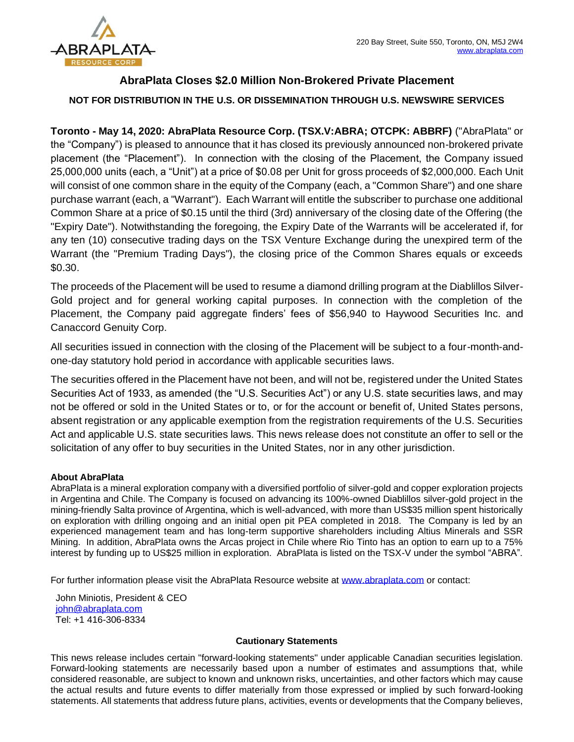

## **AbraPlata Closes \$2.0 Million Non-Brokered Private Placement**

## **NOT FOR DISTRIBUTION IN THE U.S. OR DISSEMINATION THROUGH U.S. NEWSWIRE SERVICES**

**Toronto - May 14, 2020: AbraPlata Resource Corp. (TSX.V:ABRA; OTCPK: ABBRF)** ("AbraPlata" or the "Company") is pleased to announce that it has closed its previously announced non-brokered private placement (the "Placement"). In connection with the closing of the Placement, the Company issued 25,000,000 units (each, a "Unit") at a price of \$0.08 per Unit for gross proceeds of \$2,000,000. Each Unit will consist of one common share in the equity of the Company (each, a "Common Share") and one share purchase warrant (each, a "Warrant"). Each Warrant will entitle the subscriber to purchase one additional Common Share at a price of \$0.15 until the third (3rd) anniversary of the closing date of the Offering (the "Expiry Date"). Notwithstanding the foregoing, the Expiry Date of the Warrants will be accelerated if, for any ten (10) consecutive trading days on the TSX Venture Exchange during the unexpired term of the Warrant (the "Premium Trading Days"), the closing price of the Common Shares equals or exceeds \$0.30.

The proceeds of the Placement will be used to resume a diamond drilling program at the Diablillos Silver-Gold project and for general working capital purposes. In connection with the completion of the Placement, the Company paid aggregate finders' fees of \$56,940 to Haywood Securities Inc. and Canaccord Genuity Corp.

All securities issued in connection with the closing of the Placement will be subject to a four-month-andone-day statutory hold period in accordance with applicable securities laws.

The securities offered in the Placement have not been, and will not be, registered under the United States Securities Act of 1933, as amended (the "U.S. Securities Act") or any U.S. state securities laws, and may not be offered or sold in the United States or to, or for the account or benefit of, United States persons, absent registration or any applicable exemption from the registration requirements of the U.S. Securities Act and applicable U.S. state securities laws. This news release does not constitute an offer to sell or the solicitation of any offer to buy securities in the United States, nor in any other jurisdiction.

## **About AbraPlata**

AbraPlata is a mineral exploration company with a diversified portfolio of silver-gold and copper exploration projects in Argentina and Chile. The Company is focused on advancing its 100%-owned Diablillos silver-gold project in the mining-friendly Salta province of Argentina, which is well-advanced, with more than US\$35 million spent historically on exploration with drilling ongoing and an initial open pit PEA completed in 2018. The Company is led by an experienced management team and has long-term supportive shareholders including Altius Minerals and SSR Mining. In addition, AbraPlata owns the Arcas project in Chile where Rio Tinto has an option to earn up to a 75% interest by funding up to US\$25 million in exploration. AbraPlata is listed on the TSX-V under the symbol "ABRA".

For further information please visit the AbraPlata Resource website at [www.abraplata.com](about:blank) or contact:

John Miniotis, President & CEO [john@abraplata.com](about:blank) Tel: +1 416-306-8334

## **Cautionary Statements**

This news release includes certain "forward-looking statements" under applicable Canadian securities legislation. Forward-looking statements are necessarily based upon a number of estimates and assumptions that, while considered reasonable, are subject to known and unknown risks, uncertainties, and other factors which may cause the actual results and future events to differ materially from those expressed or implied by such forward-looking statements. All statements that address future plans, activities, events or developments that the Company believes,